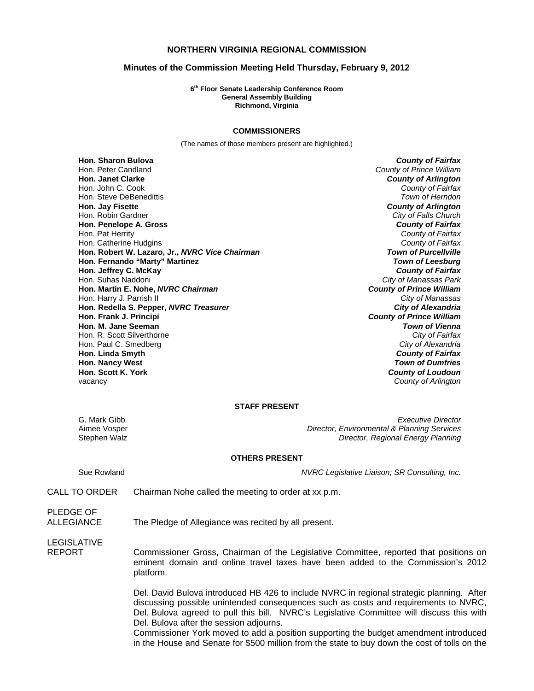# **NORTHERN VIRGINIA REGIONAL COMMISSION**

## **Minutes of the Commission Meeting Held Thursday, February 9, 2012**

**6th Floor Senate Leadership Conference Room General Assembly Building Richmond, Virginia** 

#### **COMMISSIONERS**

(The names of those members present are highlighted.)

**Hon. Sharon Bulova** *County of Fairfax* Hon. Peter Candland *County of Prince William* Hon. John C. Cook *County of Fairfax* Hon. Steve DeBenedittis *Town of Herndon* Hon. Robin Gardner *City of Falls Church* **Hon. Penelope A. Gross** *County of Fairfax* Hon. Pat Herrity *County of Fairfax* Hon. Catherine Hudgins *County of Fairfax* **Hon. Robert W. Lazaro, Jr.,** *NVRC Vice Chairman Town of Purcellville* **Hon. Fernando "Marty" Martinez** *Town of Leesburg* **Hon. Jeffrey C. McKay** *County of Fairfax* **Hon. Martin E. Nohe,** *NVRC Chairman* Hon. Harry J. Parrish II *City of Manassas* **Hon. Redella S. Pepper,** *NVRC Treasurer* **Hon. Frank J. Principi** *County of Prince William* **Hon. M. Jane Seeman** *Town of Vienna* **Hon. R. Scott Silverthorne** Hon. Paul C. Smedberg *City of Alexandria* **Hon. Linda Smyth** *County of Fairfax* **Hon. Nancy West** *Town of Dumfries*

**County of Arlington County of Arlington City of Manassas Park**<br>**County of Prince William County of Loudoun** vacancy *County of Arlington*

### **STAFF PRESENT**

G. Mark Gibb *Executive Director* Aimee Vosper *Director, Environmental & Planning Services* Stephen Walz *Director, Regional Energy Planning*

### **OTHERS PRESENT**

Sue Rowland *NVRC Legislative Liaison; SR Consulting, Inc.*

CALL TO ORDER Chairman Nohe called the meeting to order at xx p.m.

PLEDGE OF

ALLEGIANCE The Pledge of Allegiance was recited by all present.

LEGISLATIVE

REPORT Commissioner Gross, Chairman of the Legislative Committee, reported that positions on eminent domain and online travel taxes have been added to the Commission's 2012 platform.

> Del. David Bulova introduced HB 426 to include NVRC in regional strategic planning. After discussing possible unintended consequences such as costs and requirements to NVRC, Del. Bulova agreed to pull this bill. NVRC's Legislative Committee will discuss this with Del. Bulova after the session adjourns.

> Commissioner York moved to add a position supporting the budget amendment introduced in the House and Senate for \$500 million from the state to buy down the cost of tolls on the